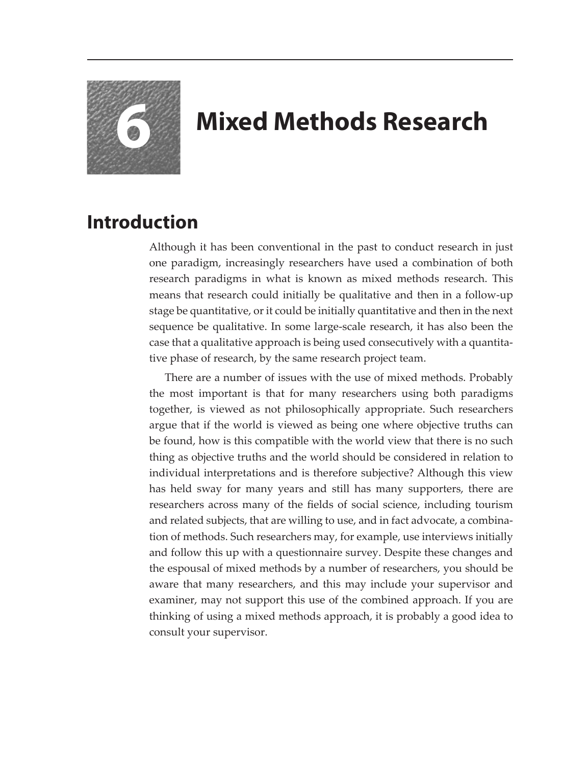

## **6 Mixed Methods Research**

## **Introduction**

Although it has been conventional in the past to conduct research in just one paradigm, increasingly researchers have used a combination of both research paradigms in what is known as mixed methods research. This means that research could initially be qualitative and then in a follow-up stage be quantitative, or it could be initially quantitative and then in the next sequence be qualitative. In some large-scale research, it has also been the case that a qualitative approach is being used consecutively with a quantitative phase of research, by the same research project team.

There are a number of issues with the use of mixed methods. Probably the most important is that for many researchers using both paradigms together, is viewed as not philosophically appropriate. Such researchers argue that if the world is viewed as being one where objective truths can be found, how is this compatible with the world view that there is no such thing as objective truths and the world should be considered in relation to individual interpretations and is therefore subjective? Although this view has held sway for many years and still has many supporters, there are researchers across many of the fields of social science, including tourism and related subjects, that are willing to use, and in fact advocate, a combination of methods. Such researchers may, for example, use interviews initially and follow this up with a questionnaire survey. Despite these changes and the espousal of mixed methods by a number of researchers, you should be aware that many researchers, and this may include your supervisor and examiner, may not support this use of the combined approach. If you are thinking of using a mixed methods approach, it is probably a good idea to consult your supervisor.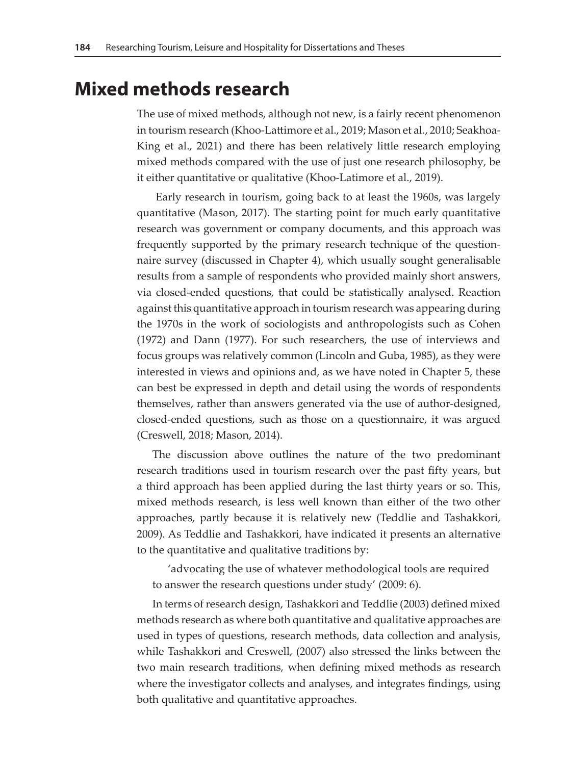## **Mixed methods research**

The use of mixed methods, although not new, is a fairly recent phenomenon in tourism research (Khoo-Lattimore et al., 2019; Mason et al., 2010; Seakhoa-King et al., 2021) and there has been relatively little research employing mixed methods compared with the use of just one research philosophy, be it either quantitative or qualitative (Khoo-Latimore et al., 2019).

 Early research in tourism, going back to at least the 1960s, was largely quantitative (Mason, 2017). The starting point for much early quantitative research was government or company documents, and this approach was frequently supported by the primary research technique of the questionnaire survey (discussed in Chapter 4), which usually sought generalisable results from a sample of respondents who provided mainly short answers, via closed-ended questions, that could be statistically analysed. Reaction against this quantitative approach in tourism research was appearing during the 1970s in the work of sociologists and anthropologists such as Cohen (1972) and Dann (1977). For such researchers, the use of interviews and focus groups was relatively common (Lincoln and Guba, 1985), as they were interested in views and opinions and, as we have noted in Chapter 5, these can best be expressed in depth and detail using the words of respondents themselves, rather than answers generated via the use of author-designed, closed-ended questions, such as those on a questionnaire, it was argued (Creswell, 2018; Mason, 2014).

The discussion above outlines the nature of the two predominant research traditions used in tourism research over the past fifty years, but a third approach has been applied during the last thirty years or so. This, mixed methods research, is less well known than either of the two other approaches, partly because it is relatively new (Teddlie and Tashakkori, 2009). As Teddlie and Tashakkori, have indicated it presents an alternative to the quantitative and qualitative traditions by:

'advocating the use of whatever methodological tools are required to answer the research questions under study' (2009: 6).

In terms of research design, Tashakkori and Teddlie (2003) defined mixed methods research as where both quantitative and qualitative approaches are used in types of questions, research methods, data collection and analysis, while Tashakkori and Creswell, (2007) also stressed the links between the two main research traditions, when defining mixed methods as research where the investigator collects and analyses, and integrates findings, using both qualitative and quantitative approaches.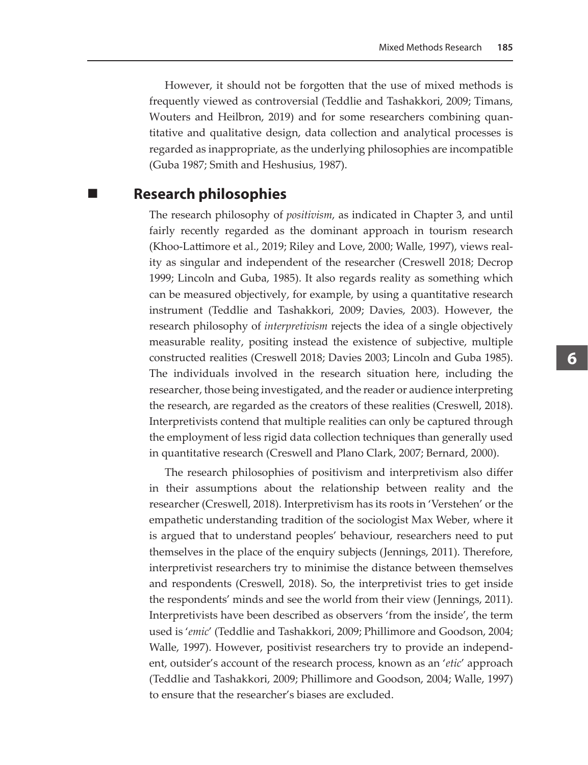However, it should not be forgotten that the use of mixed methods is frequently viewed as controversial (Teddlie and Tashakkori, 2009; Timans, Wouters and Heilbron, 2019) and for some researchers combining quantitative and qualitative design, data collection and analytical processes is regarded as inappropriate, as the underlying philosophies are incompatible (Guba 1987; Smith and Heshusius, 1987).

**Research philosophies**

The research philosophy of *positivism*, as indicated in Chapter 3, and until fairly recently regarded as the dominant approach in tourism research (Khoo-Lattimore et al., 2019; Riley and Love, 2000; Walle, 1997), views reality as singular and independent of the researcher (Creswell 2018; Decrop 1999; Lincoln and Guba, 1985). It also regards reality as something which can be measured objectively, for example, by using a quantitative research instrument (Teddlie and Tashakkori, 2009; Davies, 2003). However, the research philosophy of *interpretivism* rejects the idea of a single objectively measurable reality, positing instead the existence of subjective, multiple constructed realities (Creswell 2018; Davies 2003; Lincoln and Guba 1985). The individuals involved in the research situation here, including the researcher, those being investigated, and the reader or audience interpreting the research, are regarded as the creators of these realities (Creswell, 2018). Interpretivists contend that multiple realities can only be captured through the employment of less rigid data collection techniques than generally used in quantitative research (Creswell and Plano Clark, 2007; Bernard, 2000).

The research philosophies of positivism and interpretivism also differ in their assumptions about the relationship between reality and the researcher (Creswell, 2018). Interpretivism has its roots in 'Verstehen' or the empathetic understanding tradition of the sociologist Max Weber, where it is argued that to understand peoples' behaviour, researchers need to put themselves in the place of the enquiry subjects (Jennings, 2011). Therefore, interpretivist researchers try to minimise the distance between themselves and respondents (Creswell, 2018). So, the interpretivist tries to get inside the respondents' minds and see the world from their view (Jennings, 2011). Interpretivists have been described as observers 'from the inside', the term used is '*emic*' (Teddlie and Tashakkori, 2009; Phillimore and Goodson, 2004; Walle, 1997). However, positivist researchers try to provide an independent, outsider's account of the research process, known as an '*etic*' approach (Teddlie and Tashakkori, 2009; Phillimore and Goodson, 2004; Walle, 1997) to ensure that the researcher's biases are excluded.